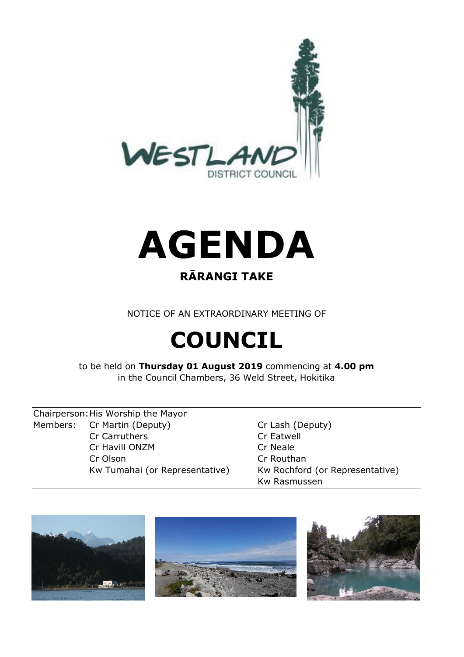



### **RĀRANGI TAKE**

NOTICE OF AN EXTRAORDINARY MEETING OF

# **COUNCIL**

to be held on **Thursday 01 August 2019** commencing at **4.00 pm**  in the Council Chambers, 36 Weld Street, Hokitika

Chairperson:His Worship the Mayor Members: Cr Martin (Deputy) Cr Lash (Deputy) Cr Carruthers Cr Eatwell Cr Havill ONZM Cr Neale Cr Olson Cr Routhan

Kw Tumahai (or Representative) Kw Rochford (or Representative) Kw Rasmussen





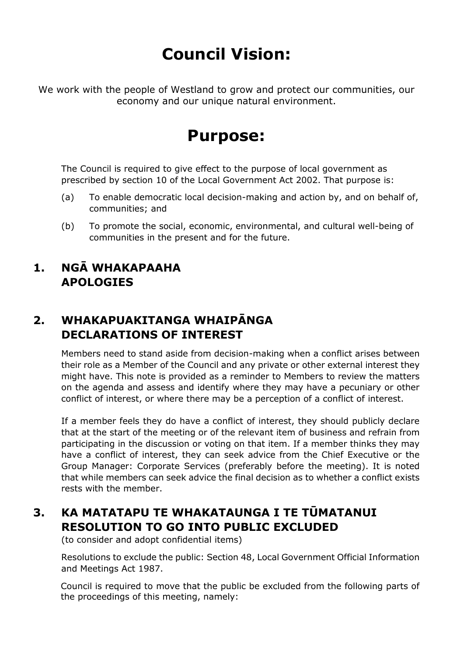## **Council Vision:**

We work with the people of Westland to grow and protect our communities, our economy and our unique natural environment.

### **Purpose:**

The Council is required to give effect to the purpose of local government as prescribed by section 10 of the Local Government Act 2002. That purpose is:

- (a) To enable democratic local decision-making and action by, and on behalf of, communities; and
- (b) To promote the social, economic, environmental, and cultural well-being of communities in the present and for the future.

#### **1. NGĀ WHAKAPAAHA APOLOGIES**

#### **2. WHAKAPUAKITANGA WHAIPĀNGA DECLARATIONS OF INTEREST**

Members need to stand aside from decision-making when a conflict arises between their role as a Member of the Council and any private or other external interest they might have. This note is provided as a reminder to Members to review the matters on the agenda and assess and identify where they may have a pecuniary or other conflict of interest, or where there may be a perception of a conflict of interest.

If a member feels they do have a conflict of interest, they should publicly declare that at the start of the meeting or of the relevant item of business and refrain from participating in the discussion or voting on that item. If a member thinks they may have a conflict of interest, they can seek advice from the Chief Executive or the Group Manager: Corporate Services (preferably before the meeting). It is noted that while members can seek advice the final decision as to whether a conflict exists rests with the member.

#### **3. KA MATATAPU TE WHAKATAUNGA I TE TŪMATANUI RESOLUTION TO GO INTO PUBLIC EXCLUDED**

(to consider and adopt confidential items)

Resolutions to exclude the public: Section 48, Local Government Official Information and Meetings Act 1987.

Council is required to move that the public be excluded from the following parts of the proceedings of this meeting, namely: